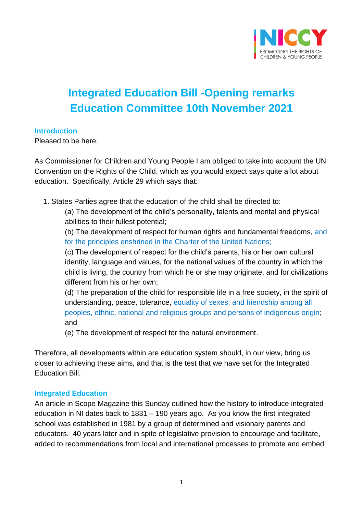

# **Integrated Education Bill -Opening remarks Education Committee 10th November 2021**

#### **Introduction**

Pleased to be here.

As Commissioner for Children and Young People I am obliged to take into account the UN Convention on the Rights of the Child, which as you would expect says quite a lot about education. Specifically, Article 29 which says that:

1. States Parties agree that the education of the child shall be directed to:

(a) The development of the child's personality, talents and mental and physical abilities to their fullest potential;

(b) The development of respect for human rights and fundamental freedoms, and for the principles enshrined in the Charter of the United Nations;

(c) The development of respect for the child's parents, his or her own cultural identity, language and values, for the national values of the country in which the child is living, the country from which he or she may originate, and for civilizations different from his or her own;

(d) The preparation of the child for responsible life in a free society, in the spirit of understanding, peace, tolerance, equality of sexes, and friendship among all peoples, ethnic, national and religious groups and persons of indigenous origin; and

(e) The development of respect for the natural environment.

Therefore, all developments within are education system should, in our view, bring us closer to achieving these aims, and that is the test that we have set for the Integrated Education Bill.

#### **Integrated Education**

An article in Scope Magazine this Sunday outlined how the history to introduce integrated education in NI dates back to 1831 – 190 years ago. As you know the first integrated school was established in 1981 by a group of determined and visionary parents and educators. 40 years later and in spite of legislative provision to encourage and facilitate, added to recommendations from local and international processes to promote and embed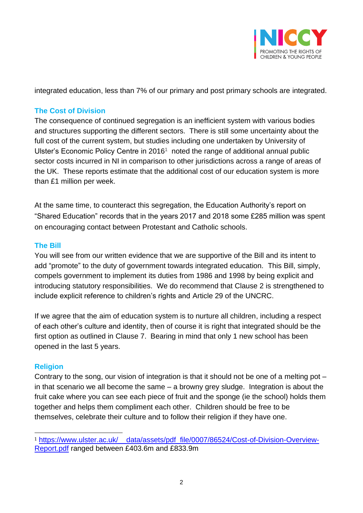

integrated education, less than 7% of our primary and post primary schools are integrated.

## **The Cost of Division**

The consequence of continued segregation is an inefficient system with various bodies and structures supporting the different sectors. There is still some uncertainty about the full cost of the current system, but studies including one undertaken by University of Ulster's Economic Policy Centre in 2016<sup>1</sup> noted the range of additional annual public sector costs incurred in NI in comparison to other jurisdictions across a range of areas of the UK. These reports estimate that the additional cost of our education system is more than £1 million per week.

At the same time, to counteract this segregation, the Education Authority's report on "Shared Education" records that in the years 2017 and 2018 some £285 million was spent on encouraging contact between Protestant and Catholic schools.

### **The Bill**

You will see from our written evidence that we are supportive of the Bill and its intent to add "promote" to the duty of government towards integrated education. This Bill, simply, compels government to implement its duties from 1986 and 1998 by being explicit and introducing statutory responsibilities. We do recommend that Clause 2 is strengthened to include explicit reference to children's rights and Article 29 of the UNCRC.

If we agree that the aim of education system is to nurture all children, including a respect of each other's culture and identity, then of course it is right that integrated should be the first option as outlined in Clause 7. Bearing in mind that only 1 new school has been opened in the last 5 years.

## **Religion**

Contrary to the song, our vision of integration is that it should not be one of a melting pot – in that scenario we all become the same – a browny grey sludge. Integration is about the fruit cake where you can see each piece of fruit and the sponge (ie the school) holds them together and helps them compliment each other. Children should be free to be themselves, celebrate their culture and to follow their religion if they have one.

<sup>1</sup> [https://www.ulster.ac.uk/\\_\\_data/assets/pdf\\_file/0007/86524/Cost-of-Division-Overview-](https://www.ulster.ac.uk/__data/assets/pdf_file/0007/86524/Cost-of-Division-Overview-Report.pdf)[Report.pdf](https://www.ulster.ac.uk/__data/assets/pdf_file/0007/86524/Cost-of-Division-Overview-Report.pdf) ranged between £403.6m and £833.9m